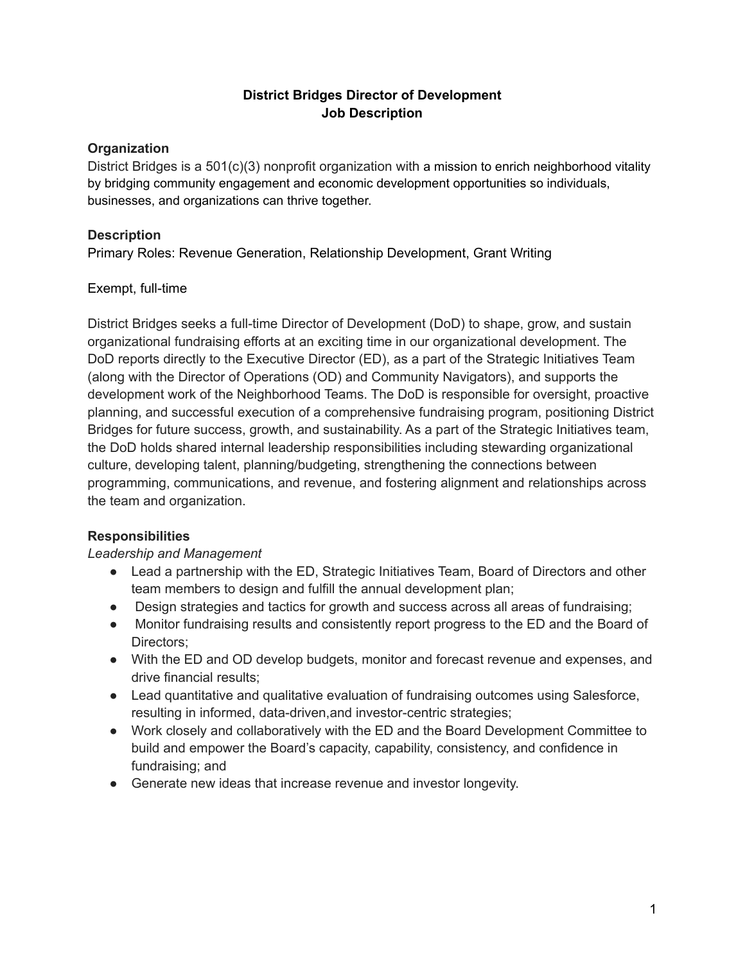### **District Bridges Director of Development Job Description**

# **Organization**

District Bridges is a 501(c)(3) nonprofit organization with a mission to enrich neighborhood vitality by bridging community engagement and economic development opportunities so individuals, businesses, and organizations can thrive together.

### **Description**

Primary Roles: Revenue Generation, Relationship Development, Grant Writing

### Exempt, full-time

District Bridges seeks a full-time Director of Development (DoD) to shape, grow, and sustain organizational fundraising efforts at an exciting time in our organizational development. The DoD reports directly to the Executive Director (ED), as a part of the Strategic Initiatives Team (along with the Director of Operations (OD) and Community Navigators), and supports the development work of the Neighborhood Teams. The DoD is responsible for oversight, proactive planning, and successful execution of a comprehensive fundraising program, positioning District Bridges for future success, growth, and sustainability. As a part of the Strategic Initiatives team, the DoD holds shared internal leadership responsibilities including stewarding organizational culture, developing talent, planning/budgeting, strengthening the connections between programming, communications, and revenue, and fostering alignment and relationships across the team and organization.

### **Responsibilities**

### *Leadership and Management*

- Lead a partnership with the ED, Strategic Initiatives Team, Board of Directors and other team members to design and fulfill the annual development plan;
- Design strategies and tactics for growth and success across all areas of fundraising;
- Monitor fundraising results and consistently report progress to the ED and the Board of Directors;
- With the ED and OD develop budgets, monitor and forecast revenue and expenses, and drive financial results;
- Lead quantitative and qualitative evaluation of fundraising outcomes using Salesforce, resulting in informed, data-driven,and investor-centric strategies;
- Work closely and collaboratively with the ED and the Board Development Committee to build and empower the Board's capacity, capability, consistency, and confidence in fundraising; and
- Generate new ideas that increase revenue and investor longevity.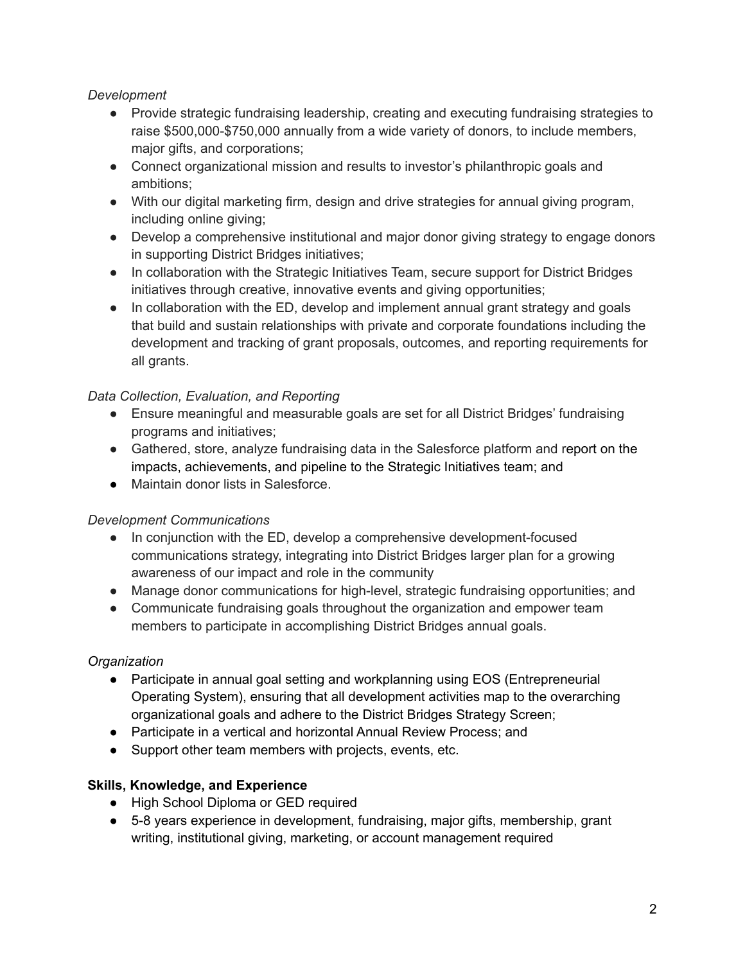### *Development*

- Provide strategic fundraising leadership, creating and executing fundraising strategies to raise \$500,000-\$750,000 annually from a wide variety of donors, to include members, major gifts, and corporations;
- Connect organizational mission and results to investor's philanthropic goals and ambitions;
- With our digital marketing firm, design and drive strategies for annual giving program, including online giving;
- Develop a comprehensive institutional and major donor giving strategy to engage donors in supporting District Bridges initiatives;
- In collaboration with the Strategic Initiatives Team, secure support for District Bridges initiatives through creative, innovative events and giving opportunities;
- In collaboration with the ED, develop and implement annual grant strategy and goals that build and sustain relationships with private and corporate foundations including the development and tracking of grant proposals, outcomes, and reporting requirements for all grants.

### *Data Collection, Evaluation, and Reporting*

- Ensure meaningful and measurable goals are set for all District Bridges' fundraising programs and initiatives;
- Gathered, store, analyze fundraising data in the Salesforce platform and report on the impacts, achievements, and pipeline to the Strategic Initiatives team; and
- Maintain donor lists in Salesforce.

# *Development Communications*

- In conjunction with the ED, develop a comprehensive development-focused communications strategy, integrating into District Bridges larger plan for a growing awareness of our impact and role in the community
- Manage donor communications for high-level, strategic fundraising opportunities; and
- Communicate fundraising goals throughout the organization and empower team members to participate in accomplishing District Bridges annual goals.

# *Organization*

- Participate in annual goal setting and workplanning using EOS (Entrepreneurial Operating System), ensuring that all development activities map to the overarching organizational goals and adhere to the District Bridges Strategy Screen;
- Participate in a vertical and horizontal Annual Review Process; and
- Support other team members with projects, events, etc.

# **Skills, Knowledge, and Experience**

- High School Diploma or GED required
- 5-8 years experience in development, fundraising, major gifts, membership, grant writing, institutional giving, marketing, or account management required